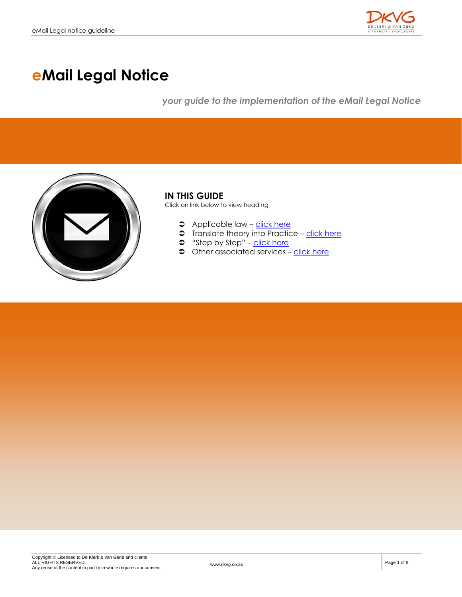

# **eMail Legal Notice**

*your guide to the implementation of the eMail Legal Notice*



### **IN THIS GUIDE**

Click on link below to view heading

- **C** Applicable law [click here](#page-1-0)
- $\supset$  Translate theory into Practice [click here](#page-3-0)
- $\Rightarrow$  "Step by Step" [click here](#page-4-0)
- $\bullet$  Other associated services [click here](#page-5-0)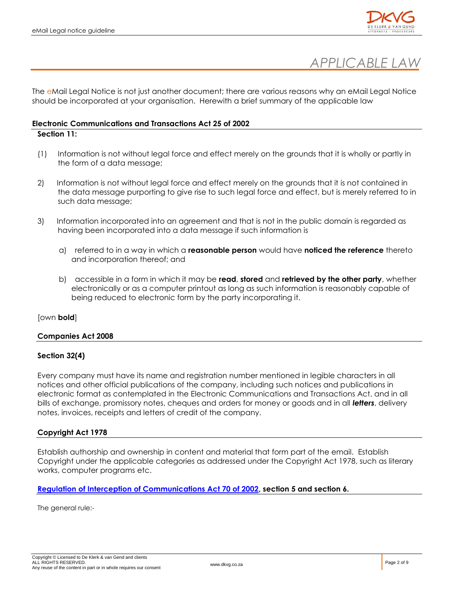



<span id="page-1-0"></span>The eMail Legal Notice is not just another document; there are various reasons why an eMail Legal Notice should be incorporated at your organisation. Herewith a brief summary of the applicable law

### **Electronic Communications and Transactions Act 25 of 2002**

### **Section 11:**

- (1) Information is not without legal force and effect merely on the grounds that it is wholly or partly in the form of a data message;
- 2) Information is not without legal force and effect merely on the grounds that it is not contained in the data message purporting to give rise to such legal force and effect, but is merely referred to in such data message;
- 3) Information incorporated into an agreement and that is not in the public domain is regarded as having been incorporated into a data message if such information is
	- a) referred to in a way in which a **reasonable person** would have **noticed the reference** thereto and incorporation thereof; and
	- b) accessible in a form in which it may be **read**, **stored** and **retrieved by the other party**, whether electronically or as a computer printout as long as such information is reasonably capable of being reduced to electronic form by the party incorporating it.

### [own **bold**]

### **Companies Act 2008**

### **Section 32(4)**

Every company must have its name and registration number mentioned in legible characters in all notices and other official publications of the company, including such notices and publications in electronic format as contemplated in the Electronic Communications and Transactions Act, and in all bills of exchange, promissory notes, cheques and orders for money or goods and in all *letters*, delivery notes, invoices, receipts and letters of credit of the company.

### **Copyright Act 1978**

Establish authorship and ownership in content and material that form part of the email. Establish Copyright under the applicable categories as addressed under the Copyright Act 1978, such as literary works, computer programs etc.

**[Regulation of Interception of Communications Act 70 of 2002,](http://www.polity.org.za/pdf/RegOfInterOfCommAct70.pdf) section 5 and section 6.**

The general rule:-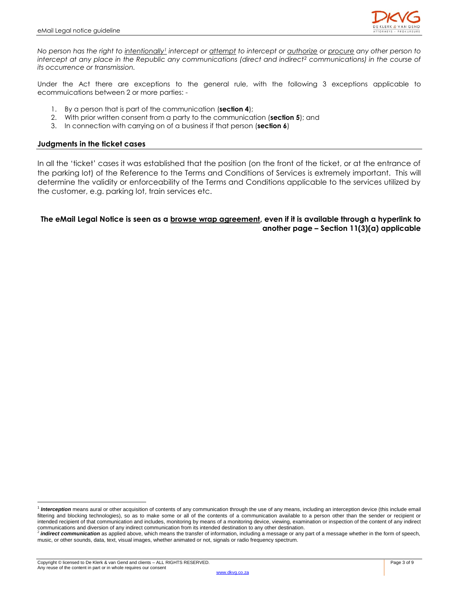

*No person has the right to intentionally<sup>1</sup> intercept or attempt to intercept or authorize or procure any other person to intercept at any place in the Republic any communications (direct and indirect<sup>2</sup> communications) in the course of its occurrence or transmission.*

Under the Act there are exceptions to the general rule, with the following 3 exceptions applicable to ecommuications between 2 or more parties: -

- 1. By a person that is part of the communication (**section 4**);
- 2. With prior written consent from a party to the communication (**section 5**); and
- 3. In connection with carrying on of a business if that person (**section 6**)

### **Judgments in the ticket cases**

In all the 'ticket' cases it was established that the position (on the front of the ticket, or at the entrance of the parking lot) of the Reference to the Terms and Conditions of Services is extremely important. This will determine the validity or enforceability of the Terms and Conditions applicable to the services utilized by the customer, e.g. parking lot, train services etc.

### **The eMail Legal Notice is seen as a browse wrap agreement, even if it is available through a hyperlink to another page – Section 11(3)(a) applicable**

 $\overline{a}$ 

<sup>&</sup>lt;sup>1</sup> Interception means aural or other acquisition of contents of any communication through the use of any means, including an interception device (this include email filtering and blocking technologies), so as to make some or all of the contents of a communication available to a person other than the sender or recipient or intended recipient of that communication and includes, monitoring by means of a monitoring device, viewing, examination or inspection of the content of any indirect

communications and diversion of any indirect communication from its intended destination to any other destination.<br><sup>2</sup> **indirect communication** as applied above, which means the transfer of information, including a message music, or other sounds, data, text, visual images, whether animated or not, signals or radio frequency spectrum.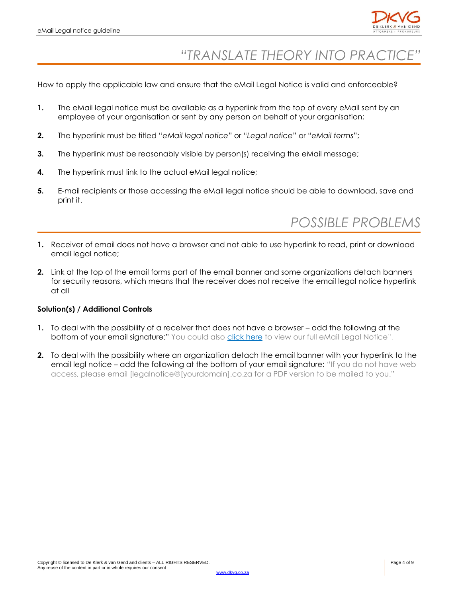

### *"TRANSLATE THEORY INTO PRACTICE"*

<span id="page-3-0"></span>How to apply the applicable law and ensure that the eMail Legal Notice is valid and enforceable?

- **1.** The eMail legal notice must be available as a hyperlink from the top of every eMail sent by an employee of your organisation or sent by any person on behalf of your organisation;
- **2.** The hyperlink must be titled "*eMail legal notice*" or "*Legal notice*" or "*eMail terms*";
- **3.** The hyperlink must be reasonably visible by person(s) receiving the eMail message;
- **4.** The hyperlink must link to the actual eMail legal notice;
- **5.** E-mail recipients or those accessing the eMail legal notice should be able to download, save and print it.

## *POSSIBLE PROBLEMS*

- **1.** Receiver of email does not have a browser and not able to use hyperlink to read, print or download email legal notice;
- **2.** Link at the top of the email forms part of the email banner and some organizations detach banners for security reasons, which means that the receiver does not receive the email legal notice hyperlink at all

### **Solution(s) / Additional Controls**

- **1.** To deal with the possibility of a receiver that does not have a browser add the following at the bottom of your email signature:" You could also click here to view our full eMail Legal Notice".
- **2.** To deal with the possibility where an organization detach the email banner with your hyperlink to the email legl notice – add the following at the bottom of your email signature: "If you do not have web access, please email [legalnotice@[yourdomain].co.za for a PDF version to be mailed to you."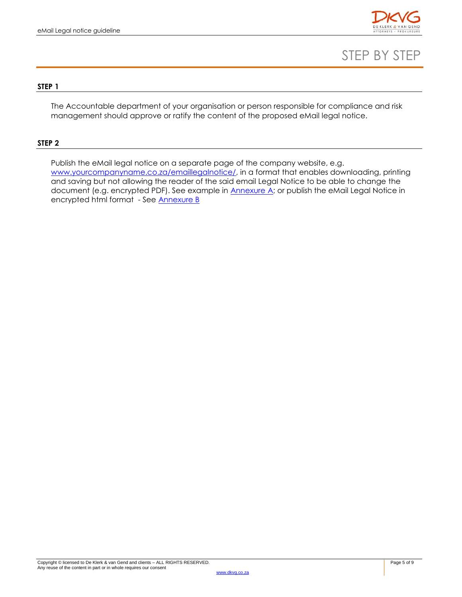

### STEP BY STEP

### <span id="page-4-0"></span>**STEP 1**

The Accountable department of your organisation or person responsible for compliance and risk management should approve or ratify the content of the proposed eMail legal notice.

#### **STEP 2**

Publish the eMail legal notice on a separate page of the company website, e.g. [www.yourcompanyname.co.za/emaillegalnotice/,](http://www.yourcompanyname.co.za/emaillegalnotice/) in a format that enables downloading, printing and saving but not allowing the reader of the said email Legal Notice to be able to change the document (e.g. encrypted PDF). See example in **Annexure A**; or publish the eMail Legal Notice in encrypted html format - See [Annexure B](#page-7-0)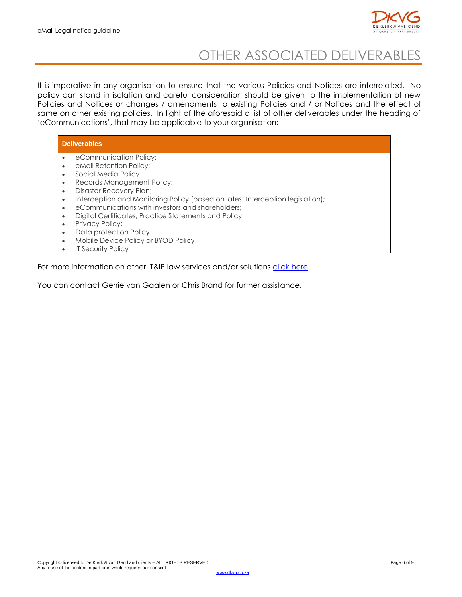

## OTHER ASSOCIATED DELIVERABLES

<span id="page-5-0"></span>It is imperative in any organisation to ensure that the various Policies and Notices are interrelated. No policy can stand in isolation and careful consideration should be given to the implementation of new Policies and Notices or changes / amendments to existing Policies and / or Notices and the effect of same on other existing policies. In light of the aforesaid a list of other deliverables under the heading of 'eCommunications', that may be applicable to your organisation:

### **Deliverables**

- eCommunication Policy;
- eMail Retention Policy;
- Social Media Policy
- Records Management Policy;
- Disaster Recovery Plan;
- Interception and Monitoring Policy (based on latest Interception legislation);
- eCommunications with investors and shareholders;
- Digital Certificates, Practice Statements and Policy
- Privacy Policy;
- Data protection Policy
- Mobile Device Policy or BYOD Policy
- IT Security Policy

For more information on other IT&IP law services and/or solutions [click here.](http://dkvg.succeedgroup.co.za/page/intellectual-property-it-law/)

You can contact Gerrie van Gaalen or Chris Brand for further assistance.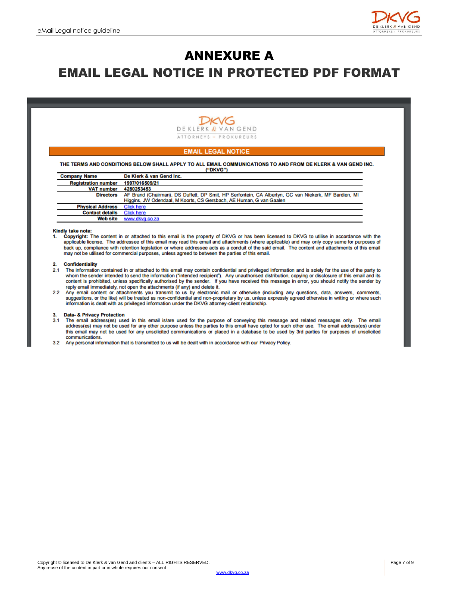

### <span id="page-6-0"></span>ANNEXURE A EMAIL LEGAL NOTICE IN PROTECTED PDF FORMAT



#### **EMAIL LEGAL NOTICE**

THE TERMS AND CONDITIONS BELOW SHALL APPLY TO ALL EMAIL COMMUNICATIONS TO AND FROM DE KLERK & VAN GEND INC. **ENDRUCED** 

|                            | $\cdots$                                                                                             |
|----------------------------|------------------------------------------------------------------------------------------------------|
| <b>Company Name</b>        | De Klerk & van Gend Inc.                                                                             |
| <b>Registration number</b> | 1997/016509/21                                                                                       |
| <b>VAT number</b>          | 4280253453                                                                                           |
| <b>Directors</b>           | AF Brand (Chairman), DS Duffett, DP Smit, HP Serfontein, CA Albertyn, GC van Niekerk, MF Bardien, MI |
|                            | Higgins, JW Odendaal, M Koorts, CS Gersbach, AE Human, G van Gaalen                                  |
| <b>Physical Address</b>    | <b>Click here</b>                                                                                    |
| <b>Contact details</b>     | <b>Click here</b>                                                                                    |
| Web site                   | www.dkvg.co.za                                                                                       |

#### Kindly take note:

1. Copyright: The content in or attached to this email is the property of DKVG or has been licensed to DKVG to utilise in accordance with the applicable license. The addressee of this email may read this email and attachments (where applicable) and may only copy same for purposes of back up, compliance with retention legislation or where addressee acts as a conduit of the said email. The content and attachments of this email may not be utilised for commercial purposes, unless agreed to between the parties of this email.

#### 2. Confidentiality

- The information contained in or attached to this email may contain confidential and privileged information and is solely for the use of the party to whom the sender intended to send the information ("intended recipient").  $21$ reply email immediately, not open the attachments (if any) and delete it.
- 2.2 Any email content or attachments you transmit to us by electronic mail or otherwise (including any questions, data, answers, comments, suggestions, or the like) will be treated as non-confidential and non-proprietary by us, unless expressly agreed otherwise in writing or where such information is dealt with as privileged information under the DKVG attorne

#### Data- & Privacy Protection 3.

- The email address(es) used in this email is/are used for the purpose of conveying this message and related messages only. The email  $3.1$ address(es) may not be used for any other purpose unless the parties to this email have opted for such other use. The email address(es) under this email may not be used for any unsolicited communications or placed in a database to be used by 3rd parties for purposes of unsolicited communications.
- 32 Any personal information that is transmitted to us will be dealt with in accordance with our Privacy Policy.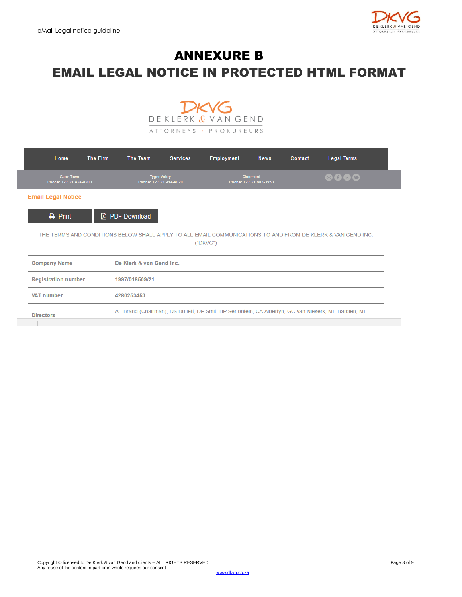

### <span id="page-7-0"></span>ANNEXURE B EMAIL LEGAL NOTICE IN PROTECTED HTML FORMAT



| Home                                | <b>The Firm</b> | The Team                                                                                                                                                         | <b>Services</b> | Employment                                 | <b>News</b> | Contact | <b>Legal Terms</b>                                                                                          |  |
|-------------------------------------|-----------------|------------------------------------------------------------------------------------------------------------------------------------------------------------------|-----------------|--------------------------------------------|-------------|---------|-------------------------------------------------------------------------------------------------------------|--|
| Cape Town<br>Phone: +27 21 424-9200 |                 | <b>Tyger Valley</b><br>Phone: +27 21 914-4020                                                                                                                    |                 | <b>Claremont</b><br>Phone: +27 21 683-3553 |             |         | 8060                                                                                                        |  |
| <b>Email Legal Notice</b>           |                 |                                                                                                                                                                  |                 |                                            |             |         |                                                                                                             |  |
| $\rightarrow$ Print                 |                 | <b>A</b> PDF Download                                                                                                                                            |                 |                                            |             |         |                                                                                                             |  |
|                                     |                 |                                                                                                                                                                  |                 | ("DKVG")                                   |             |         | THE TERMS AND CONDITIONS BELOW SHALL APPLY TO ALL EMAIL COMMUNICATIONS TO AND FROM DE KLERK & VAN GEND INC. |  |
| <b>Company Name</b>                 |                 | De Klerk & van Gend Inc.                                                                                                                                         |                 |                                            |             |         |                                                                                                             |  |
| <b>Registration number</b>          |                 | 1997/016509/21                                                                                                                                                   |                 |                                            |             |         |                                                                                                             |  |
| <b>VAT number</b>                   |                 | 4280253453                                                                                                                                                       |                 |                                            |             |         |                                                                                                             |  |
|                                     |                 | AF Brand (Chairman), DS Duffett, DP Smit, HP Serfontein, CA Albertyn, GC van Niekerk, MF Bardien, MI<br>BALON-HALL 14 Results OO Oscalarly AF Human Over Oscalar |                 |                                            |             |         |                                                                                                             |  |